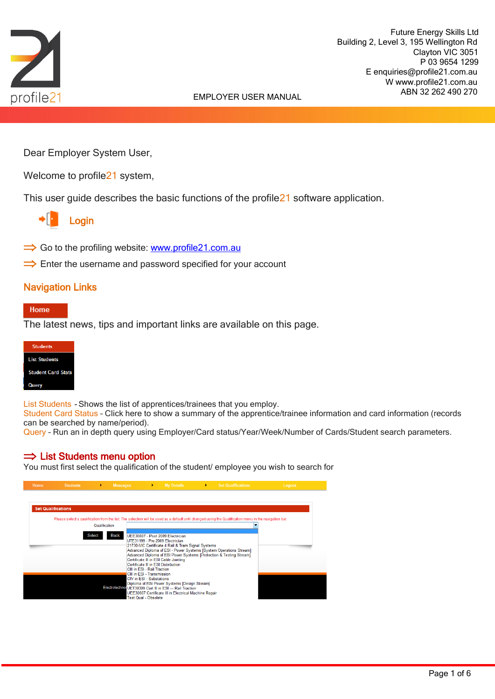

 Future Energy Skills Ltd Building 2, Level 3, 195 Wellington Rd Clayton VIC 3051 P 03 9654 1299 E enquiries@profile21.com.au W www.profile21.com.au ABN 32 262 490 270

# EMPLOYER USER MANUAL

Dear Employer System User,

Welcome to profile<sup>21</sup> system,

This user guide describes the basic functions of the profile21 software application.

Login

- $\Rightarrow$  Go to the profiling website: [www.profile21.com.au](http://www.profile21.com.au/)
- $\Rightarrow$  Enter the username and password specified for your account

## Navigation Links

#### Home

The latest news, tips and important links are available on this page.



List Students - Shows the list of apprentices/trainees that you employ.

Student Card Status – Click here to show a summary of the apprentice/trainee information and card information (records can be searched by name/period).

Query – Run an in depth query using Employer/Card status/Year/Week/Number of Cards/Student search parameters.

#### $\Rightarrow$  List Students menu option

You must first select the qualification of the student/ employee you wish to search for

| Home | <b>Students</b>           | Þ.                             | <b>Messages</b>                                                                                                                                                                         | ×. | <b>My Details</b>                                                                                                                                                                                                                                                                                                  | ×. | <b>Set Qualfications</b>                                                                                                                                                                                                                                                                            | Logout |
|------|---------------------------|--------------------------------|-----------------------------------------------------------------------------------------------------------------------------------------------------------------------------------------|----|--------------------------------------------------------------------------------------------------------------------------------------------------------------------------------------------------------------------------------------------------------------------------------------------------------------------|----|-----------------------------------------------------------------------------------------------------------------------------------------------------------------------------------------------------------------------------------------------------------------------------------------------------|--------|
|      | <b>Set Qualifications</b> | Qualification<br><b>Select</b> | <b>Back</b><br>CIII in ESI - Rail Traction<br>CIII in FSI - Transmission<br>CIV in ESI - Substations<br>Electrotechnol UET30309 Cert III in ESI - Rail Traction<br>Test Qual - Obsolete |    | UEE30807 - Post 2009 Electrician<br>UTE31199 - Pre 2009 Electrician<br>21730-VIC Certificate 4 Rail & Tram Signal Systems<br>Certificate III in ESI Cable Jointing<br>Certificate III in ESI Distribution<br>Diploma of ESI Power Systems [Design Stream]<br>UEE30607 Certificate III in Electrical Machine Repair |    | Please select a qualification from the list. The selection will be used as a default until changed using the Qualification menu in the navigation bar.<br>Advanced Diploma of ESI - Power Systems [System Operations Stream]<br>Advanced Diploma of ESI Power Systems [Protection & Testing Stream] |        |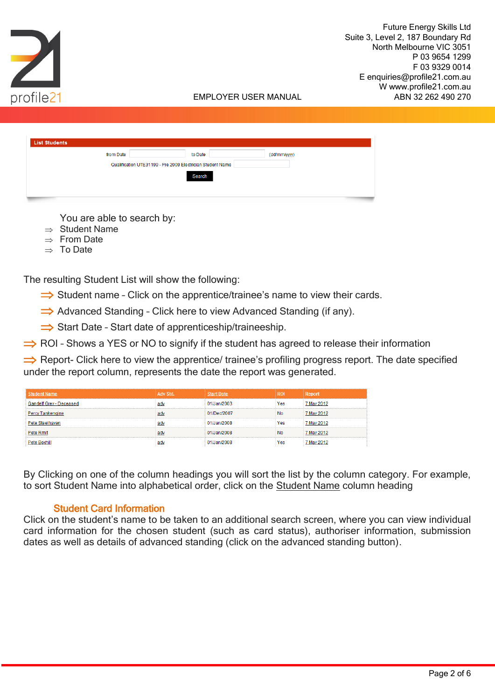

| from Date | to Date                                                    | (dd/mm/yyyy) |  |
|-----------|------------------------------------------------------------|--------------|--|
|           | Qualification UTE31199 - Pre 2009 Electrician Student Name |              |  |
|           | Search                                                     |              |  |
|           |                                                            |              |  |

You are able to search by:

- $\Rightarrow$  Student Name
- $\Rightarrow$  From Date
- $\Rightarrow$  To Date

The resulting Student List will show the following:

 $\Rightarrow$  Student name - Click on the apprentice/trainee's name to view their cards.

 $\Rightarrow$  Advanced Standing - Click here to view Advanced Standing (if any).

 $\Rightarrow$  Start Date - Start date of apprenticeship/traineeship.

 $\Rightarrow$  ROI - Shows a YES or NO to signify if the student has agreed to release their information

 $\Rightarrow$  Report- Click here to view the apprentice/ trainee's profiling progress report. The date specified under the report column, represents the date the report was generated.

| <b>Student Name</b>     | Adv Std. | art Date    | <b>ROI</b> | Report     |
|-------------------------|----------|-------------|------------|------------|
| delf Grey - Deceased    |          | 01/Jan/2003 | Yes        | 7 Mav 2012 |
| <b>Percy Tankengine</b> |          | 01/Dec/2007 | <b>No</b>  | 7 Mav 2012 |
| Steelhaven              |          | 01/Jan/2008 | Yes        | 7 Mav 2012 |
| Pete Rmit               |          | 01/Jan/2008 | <b>No</b>  | 7 May 2012 |
| <b>Pete Boxhill</b>     |          | 01/Jan/2008 | Yes        | 7 May 2012 |

By Clicking on one of the column headings you will sort the list by the column category. For example, to sort Student Name into alphabetical order, click on the Student Name column heading

# Student Card Information

Click on the student's name to be taken to an additional search screen, where you can view individual card information for the chosen student (such as card status), authoriser information, submission dates as well as details of advanced standing (click on the advanced standing button).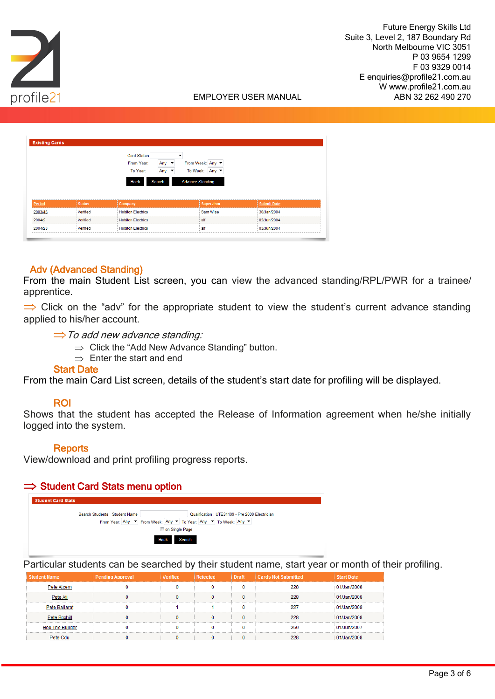



| <b>Existing Cards</b> |          |                          |                          |                         |                    |
|-----------------------|----------|--------------------------|--------------------------|-------------------------|--------------------|
|                       |          | <b>Card Status</b>       |                          |                         |                    |
|                       |          | From Year:               | Any $\blacktriangledown$ | From Week: Any ▼        |                    |
|                       |          | To Year:                 | Any $\blacktriangledown$ | To Week: Any ▼          |                    |
|                       |          |                          |                          |                         |                    |
|                       |          | <b>Back</b>              | Search                   | <b>Advance Standing</b> |                    |
|                       |          |                          |                          |                         |                    |
| Period                | Status   | <b>Company</b>           |                          | <b>Supervisor</b>       | <b>Submit Date</b> |
| 2003/45               | Verified | <b>Hobiton Electrics</b> |                          | Sam Wise                | 30/Jan/2004        |
| 2004/2                | Verified | <b>Hobiton Electrics</b> |                          | alf                     | 03/Jun/2004        |

## Adv (Advanced Standing)

From the main Student List screen, you can view the advanced standing/RPL/PWR for a trainee/ apprentice.

 $\Rightarrow$  Click on the "adv" for the appropriate student to view the student's current advance standing applied to his/her account.

 $\Rightarrow$  To add new advance standing:

- $\Rightarrow$  Click the "Add New Advance Standing" button.
- $\Rightarrow$  Enter the start and end

## Start Date

From the main Card List screen, details of the student's start date for profiling will be displayed.

## ROI

Shows that the student has accepted the Release of Information agreement when he/she initially logged into the system.

## **Reports**

View/download and print profiling progress reports.

## $\Rightarrow$  Student Card Stats menu option



Particular students can be searched by their student name, start year or month of their profiling.

| <b>Student Name</b>    | <b>Pending Approval</b> | Verified | Rejected | <b>Draft</b> | <b>Cards Not Submitted</b> | Start Date  |
|------------------------|-------------------------|----------|----------|--------------|----------------------------|-------------|
| Pete Atcem             |                         |          |          |              | 228                        | 01/Jan/2008 |
| Pete Ati               |                         |          |          | n            | 228                        | 01/Jan/2008 |
| Pete Ballarat          |                         |          |          |              |                            | 01/Jan/2008 |
| Pete Boxhill           |                         |          |          |              | 228                        | 01/Jan/2008 |
| <b>Bob The Builder</b> |                         |          |          |              | 259                        | 01/Jun/2007 |
| Pete Cdu               |                         |          |          |              | 228                        | 01/Jan/2008 |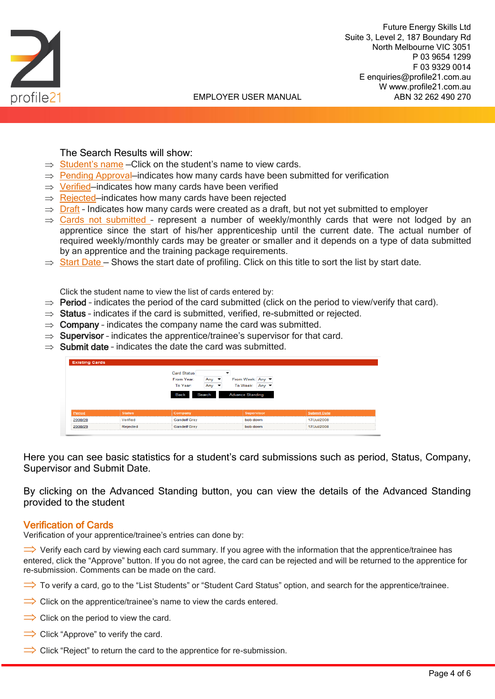

## The Search Results will show:

- $\Rightarrow$  Student's name Click on the student's name to view cards.
- $\Rightarrow$  Pending Approval–indicates how many cards have been submitted for verification
- $\Rightarrow$  Verified–indicates how many cards have been verified
- $\Rightarrow$  Rejected–indicates how many cards have been rejected
- $\Rightarrow$  Draft Indicates how many cards were created as a draft, but not yet submitted to employer
- $\Rightarrow$  Cards not submitted represent a number of weekly/monthly cards that were not lodged by an apprentice since the start of his/her apprenticeship until the current date. The actual number of required weekly/monthly cards may be greater or smaller and it depends on a type of data submitted by an apprentice and the training package requirements.
- $\Rightarrow$  Start Date Shows the start date of profiling. Click on this title to sort the list by start date.

Click the student name to view the list of cards entered by:

- $\Rightarrow$  Period indicates the period of the card submitted (click on the period to view/verify that card).
- $\Rightarrow$  Status indicates if the card is submitted, verified, re-submitted or rejected.
- $\Rightarrow$  Company indicates the company name the card was submitted.
- $\Rightarrow$  Supervisor indicates the apprentice/trainee's supervisor for that card.
- $\Rightarrow$  Submit date indicates the date the card was submitted.

|                   |               | <b>Card Status</b><br>From Year:<br>To Year: | Any $\blacktriangleright$<br>Any $\blacktriangleright$ | From Week: Any<br>To Week: Any ▼ |                    |  |
|-------------------|---------------|----------------------------------------------|--------------------------------------------------------|----------------------------------|--------------------|--|
|                   |               | Search<br>Back                               |                                                        | <b>Advance Standing</b>          |                    |  |
|                   |               |                                              |                                                        |                                  |                    |  |
|                   | <b>Status</b> | Company                                      |                                                        | Supervisor                       | <b>Submit Date</b> |  |
| Period<br>2008/28 | Verified      | <b>Gandelf Grev</b>                          |                                                        | bob down                         | 17/Jul/2008        |  |

Here you can see basic statistics for a student's card submissions such as period, Status, Company, Supervisor and Submit Date.

By clicking on the Advanced Standing button, you can view the details of the Advanced Standing provided to the student

#### Verification of Cards

Verification of your apprentice/trainee's entries can done by:

 $\Rightarrow$  Verify each card by viewing each card summary. If you agree with the information that the apprentice/trainee has entered, click the "Approve" button. If you do not agree, the card can be rejected and will be returned to the apprentice for re-submission. Comments can be made on the card.

- $\Rightarrow$  To verify a card, go to the "List Students" or "Student Card Status" option, and search for the apprentice/trainee.
- $\Rightarrow$  Click on the apprentice/trainee's name to view the cards entered.
- $\Rightarrow$  Click on the period to view the card.
- $\Rightarrow$  Click "Approve" to verify the card.
- $\Rightarrow$  Click "Reject" to return the card to the apprentice for re-submission.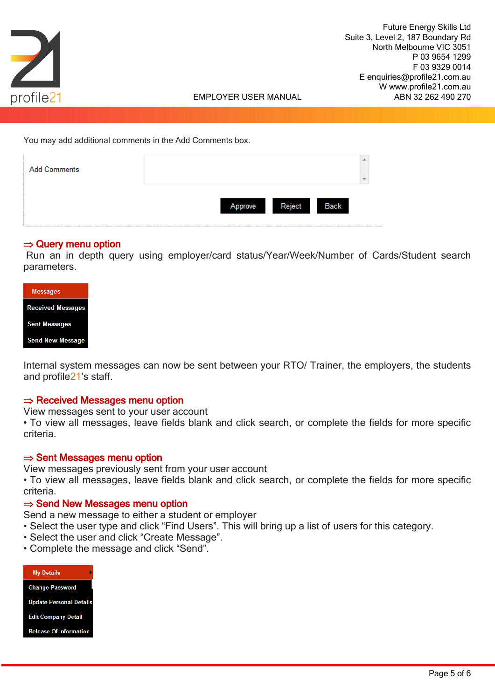

You may add additional comments in the Add Comments box.

| <b>Add Comments</b> |                           |  |
|---------------------|---------------------------|--|
|                     | Back<br>Reject<br>Approve |  |

## $\Rightarrow$  Query menu option

Run an in depth query using employer/card status/Year/Week/Number of Cards/Student search parameters.

| <b>Messages</b>          |  |
|--------------------------|--|
| <b>Received Messages</b> |  |
| <b>Sent Messages</b>     |  |
| <b>Send New Message</b>  |  |

Internal system messages can now be sent between your RTO/ Trainer, the employers, the students and profile21's staff.

## $\Rightarrow$  Received Messages menu option

View messages sent to your user account

• To view all messages, leave fields blank and click search, or complete the fields for more specific criteria.

## $\Rightarrow$  Sent Messages menu option

View messages previously sent from your user account

• To view all messages, leave fields blank and click search, or complete the fields for more specific criteria.

#### $\Rightarrow$  Send New Messages menu option

Send a new message to either a student or employer

- Select the user type and click "Find Users". This will bring up a list of users for this category.
- Select the user and click "Create Message".
- Complete the message and click "Send".

| <b>My Details</b>              |  |
|--------------------------------|--|
| <b>Change Password</b>         |  |
| <b>Update Personal Details</b> |  |
| <b>Edit Company Detail</b>     |  |
| <b>Release Of Information</b>  |  |